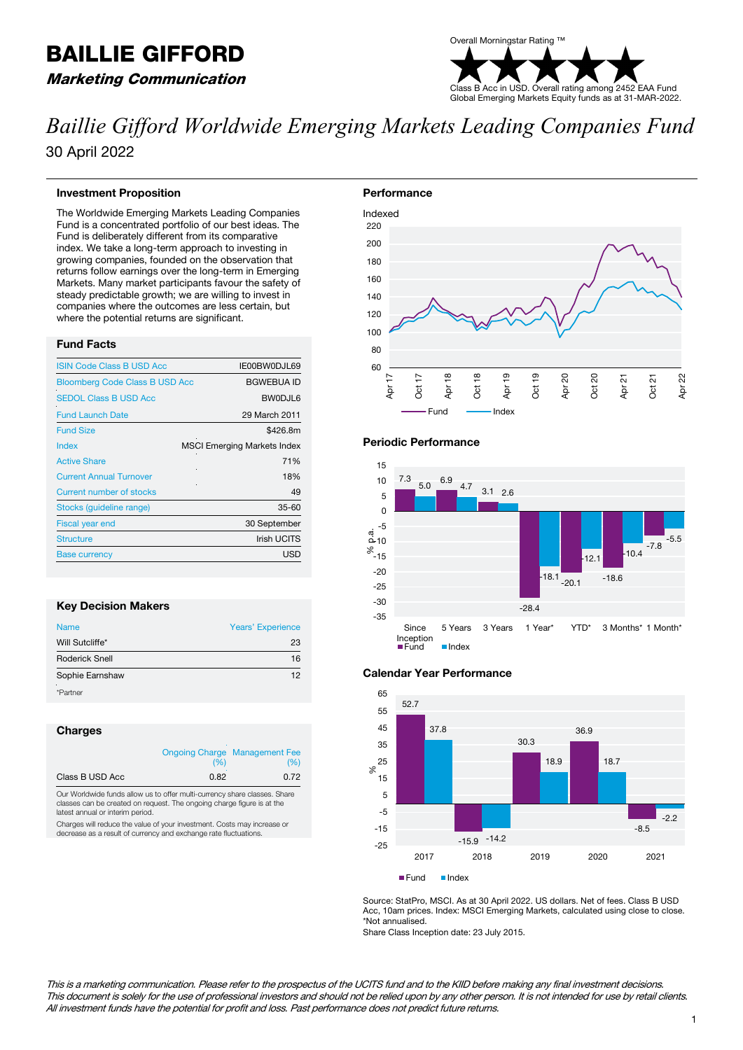## BAILLIE GIFFORD Marketing Communication



# *Baillie Gifford Worldwide Emerging Markets Leading Companies Fund* 30 April 2022

## **Investment Proposition**

The Worldwide Emerging Markets Leading Companies Fund is a concentrated portfolio of our best ideas. The Fund is deliberately different from its comparative index. We take a long-term approach to investing in growing companies, founded on the observation that returns follow earnings over the long-term in Emerging Markets. Many market participants favour the safety of steady predictable growth; we are willing to invest in companies where the outcomes are less certain, but where the potential returns are significant.

## **Fund Facts**

| <b>ISIN Code Class B USD Acc</b>      | IE00BW0DJL69                       |
|---------------------------------------|------------------------------------|
| <b>Bloomberg Code Class B USD Acc</b> | <b>BGWEBUA ID</b>                  |
| <b>SEDOL Class B USD Acc</b>          | BW0DJL6                            |
| <b>Fund Launch Date</b>               | 29 March 2011                      |
| <b>Fund Size</b>                      | \$426.8m                           |
| Index                                 | <b>MSCI Emerging Markets Index</b> |
| <b>Active Share</b>                   | 71%                                |
| <b>Current Annual Turnover</b>        | 18%                                |
| Current number of stocks              | 49                                 |
| Stocks (quideline range)              | $35 - 60$                          |
| <b>Fiscal year end</b>                | 30 September                       |
| <b>Structure</b>                      | <b>Irish UCITS</b>                 |
| <b>Base currency</b>                  | <b>USD</b>                         |

## **Key Decision Makers**

| <b>Name</b>     | <b>Years' Experience</b> |
|-----------------|--------------------------|
| Will Sutcliffe* | 23                       |
| Roderick Snell  | 16                       |
| Sophie Earnshaw | 12                       |
| *Partner        |                          |

## **Charges**

|                 | (%)  | <b>Ongoing Charge Management Fee</b><br>(%) |
|-----------------|------|---------------------------------------------|
| Class B USD Acc | 0.82 | 0.72                                        |

Our Worldwide funds allow us to offer multi-currency share classes. Share classes can be created on request. The ongoing charge figure is at the latest annual or interim period.

Charges will reduce the value of your investment. Costs may increase or decrease as a result of currency and exchange rate fluctuations.



## **Periodic Performance**



## **Calendar Year Performance**



Source: StatPro, MSCI. As at 30 April 2022. US dollars. Net of fees. Class B USD Acc, 10am prices. Index: MSCI Emerging Markets, calculated using close to close. \*Not annualised.

Share Class Inception date: 23 July 2015.

This is a marketing communication. Please refer to the prospectus of the UCITS fund and to the KIID before making any final investment decisions. This document is solely for the use of professional investors and should not be relied upon by any other person. It is not intended for use by retail clients. All investment funds have the potential for profit and loss. Past performance does not predict future returns.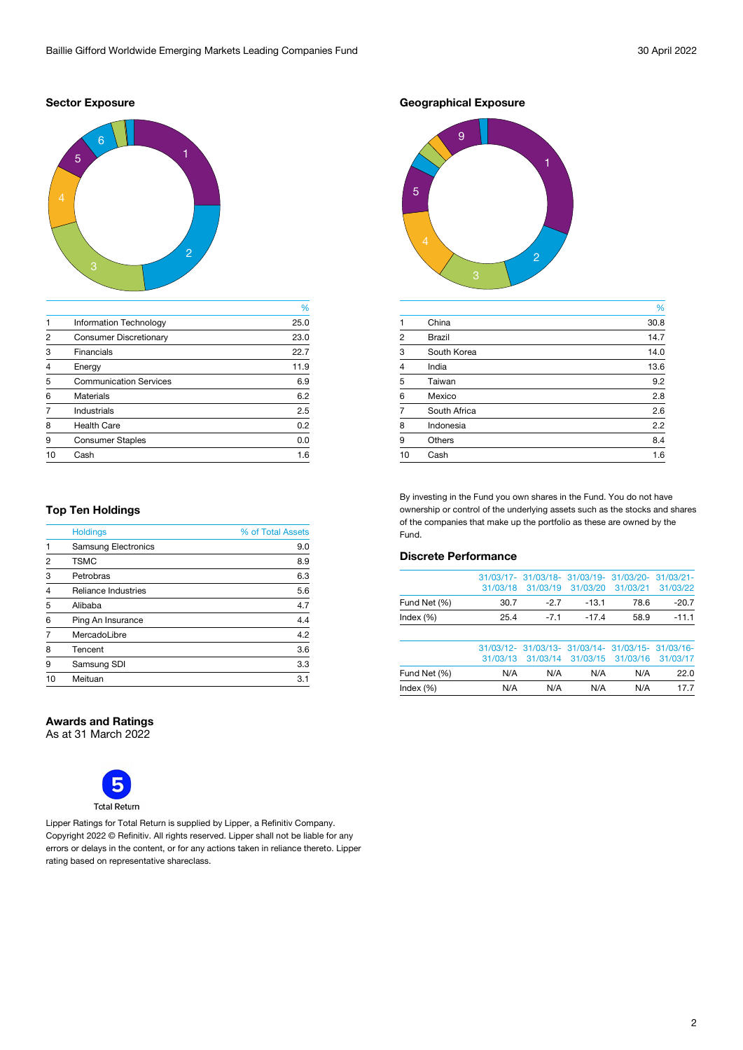## **Sector Exposure**



|                |                               | %    |
|----------------|-------------------------------|------|
|                | <b>Information Technology</b> | 25.0 |
| $\mathfrak{p}$ | <b>Consumer Discretionary</b> | 23.0 |
| 3              | <b>Financials</b>             | 22.7 |
| $\overline{4}$ | Energy                        | 11.9 |
| 5              | <b>Communication Services</b> | 6.9  |
| 6              | <b>Materials</b>              | 6.2  |
|                | Industrials                   | 2.5  |
| 8              | <b>Health Care</b>            | 0.2  |
| 9              | <b>Consumer Staples</b>       | 0.0  |
| 10             | Cash                          | 1.6  |
|                |                               |      |

## **Top Ten Holdings**

| <b>Holdings</b>            | % of Total Assets |  |  |
|----------------------------|-------------------|--|--|
| <b>Samsung Electronics</b> | 9.0               |  |  |
| <b>TSMC</b>                | 8.9               |  |  |
| Petrobras                  | 6.3               |  |  |
| <b>Reliance Industries</b> | 5.6               |  |  |
| Alibaba                    | 4.7               |  |  |
| Ping An Insurance          | 4.4               |  |  |
| MercadoLibre               | 4.2               |  |  |
| Tencent                    | 3.6               |  |  |
| Samsung SDI                | 3.3               |  |  |
| Meituan                    | 3.1               |  |  |
|                            |                   |  |  |

## **Awards and Ratings**

As at 31 March 2022



Lipper Ratings for Total Return is supplied by Lipper, a Refinitiv Company. Copyright 2022 © Refinitiv. All rights reserved. Lipper shall not be liable for any errors or delays in the content, or for any actions taken in reliance thereto. Lipper rating based on representative shareclass.

**Geographical Exposure**



|               | %    |
|---------------|------|
| China         | 30.8 |
| <b>Brazil</b> | 14.7 |
| South Korea   | 14.0 |
| India         | 13.6 |
| Taiwan        | 9.2  |
| Mexico        | 2.8  |
| South Africa  | 2.6  |
| Indonesia     | 2.2  |
| <b>Others</b> | 8.4  |
| Cash          | 1.6  |
|               |      |

By investing in the Fund you own shares in the Fund. You do not have ownership or control of the underlying assets such as the stocks and shares of the companies that make up the portfolio as these are owned by the Fund.

## **Discrete Performance**

| Index $(\%)$ | N/A      | N/A                                                           | N/A      | N/A      | 17.7     |
|--------------|----------|---------------------------------------------------------------|----------|----------|----------|
| Fund Net (%) | N/A      | N/A                                                           | N/A      | N/A      | 22.0     |
|              | 31/03/13 | 31/03/14                                                      | 31/03/15 | 31/03/16 | 31/03/17 |
|              |          | 31/03/12- 31/03/13- 31/03/14- 31/03/15- 31/03/16-             |          |          |          |
| Index $(\%)$ | 25.4     | $-7.1$                                                        | $-17.4$  | 58.9     | $-11.1$  |
| Fund Net (%) | 30.7     | $-2.7$                                                        | $-13.1$  | 78.6     | $-20.7$  |
|              | 31/03/18 | 31/03/17- 31/03/18- 31/03/19- 31/03/20- 31/03/21-<br>31/03/19 | 31/03/20 | 31/03/21 | 31/03/22 |
|              |          |                                                               |          |          |          |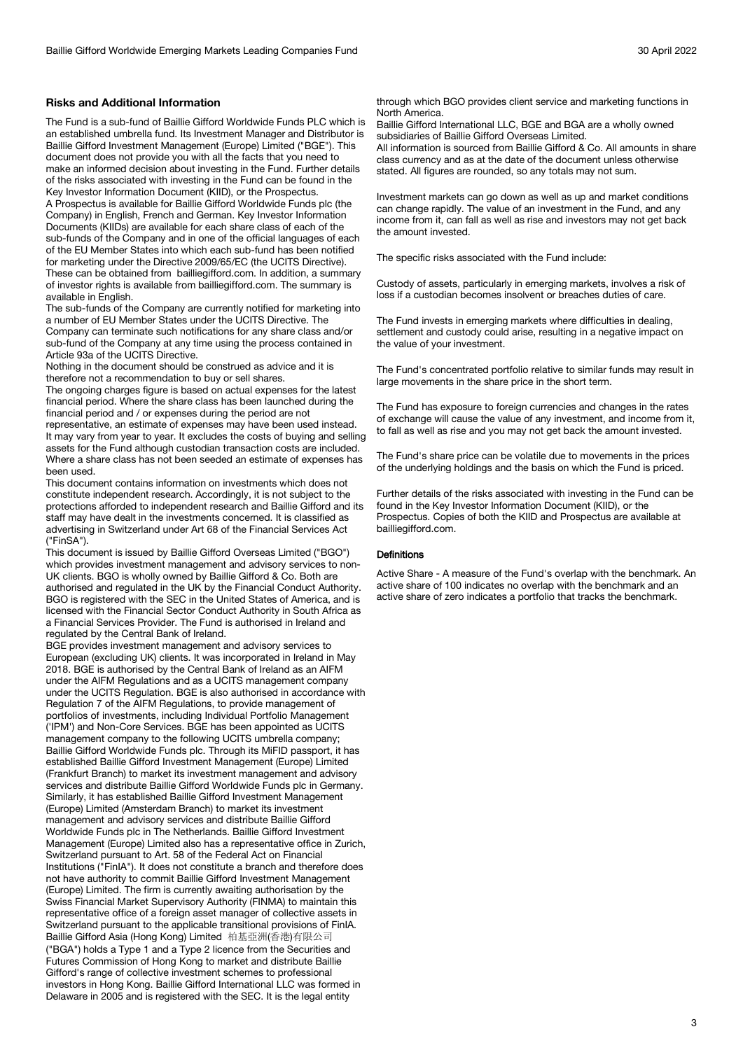## **Risks and Additional Information**

The Fund is a sub-fund of Baillie Gifford Worldwide Funds PLC which is an established umbrella fund. Its Investment Manager and Distributor is Baillie Gifford Investment Management (Europe) Limited ("BGE"). This document does not provide you with all the facts that you need to make an informed decision about investing in the Fund. Further details of the risks associated with investing in the Fund can be found in the Key Investor Information Document (KIID), or the Prospectus.

A Prospectus is available for Baillie Gifford Worldwide Funds plc (the Company) in English, French and German. Key Investor Information Documents (KIIDs) are available for each share class of each of the sub-funds of the Company and in one of the official languages of each of the EU Member States into which each sub-fund has been notified for marketing under the Directive 2009/65/EC (the UCITS Directive). These can be obtained from bailliegifford.com. In addition, a summary of investor rights is available from bailliegifford.com. The summary is available in English.

The sub-funds of the Company are currently notified for marketing into a number of EU Member States under the UCITS Directive. The Company can terminate such notifications for any share class and/or sub-fund of the Company at any time using the process contained in Article 93a of the UCITS Directive.

Nothing in the document should be construed as advice and it is therefore not a recommendation to buy or sell shares.

The ongoing charges figure is based on actual expenses for the latest financial period. Where the share class has been launched during the financial period and / or expenses during the period are not

representative, an estimate of expenses may have been used instead. It may vary from year to year. It excludes the costs of buying and selling assets for the Fund although custodian transaction costs are included. Where a share class has not been seeded an estimate of expenses has been used.

This document contains information on investments which does not constitute independent research. Accordingly, it is not subject to the protections afforded to independent research and Baillie Gifford and its staff may have dealt in the investments concerned. It is classified as advertising in Switzerland under Art 68 of the Financial Services Act ("FinSA").

This document is issued by Baillie Gifford Overseas Limited ("BGO") which provides investment management and advisory services to non-UK clients. BGO is wholly owned by Baillie Gifford & Co. Both are authorised and regulated in the UK by the Financial Conduct Authority. BGO is registered with the SEC in the United States of America, and is licensed with the Financial Sector Conduct Authority in South Africa as a Financial Services Provider. The Fund is authorised in Ireland and regulated by the Central Bank of Ireland.

BGE provides investment management and advisory services to European (excluding UK) clients. It was incorporated in Ireland in May 2018. BGE is authorised by the Central Bank of Ireland as an AIFM under the AIFM Regulations and as a UCITS management company under the UCITS Regulation. BGE is also authorised in accordance with Regulation 7 of the AIFM Regulations, to provide management of portfolios of investments, including Individual Portfolio Management ('IPM') and Non-Core Services. BGE has been appointed as UCITS management company to the following UCITS umbrella company; Baillie Gifford Worldwide Funds plc. Through its MiFID passport, it has established Baillie Gifford Investment Management (Europe) Limited (Frankfurt Branch) to market its investment management and advisory services and distribute Baillie Gifford Worldwide Funds plc in Germany. Similarly, it has established Baillie Gifford Investment Management (Europe) Limited (Amsterdam Branch) to market its investment management and advisory services and distribute Baillie Gifford Worldwide Funds plc in The Netherlands. Baillie Gifford Investment Management (Europe) Limited also has a representative office in Zurich, Switzerland pursuant to Art. 58 of the Federal Act on Financial Institutions ("FinIA"). It does not constitute a branch and therefore does not have authority to commit Baillie Gifford Investment Management (Europe) Limited. The firm is currently awaiting authorisation by the Swiss Financial Market Supervisory Authority (FINMA) to maintain this representative office of a foreign asset manager of collective assets in Switzerland pursuant to the applicable transitional provisions of FinIA. Baillie Gifford Asia (Hong Kong) Limited 柏基亞洲(香港)有限公司 ("BGA") holds a Type 1 and a Type 2 licence from the Securities and Futures Commission of Hong Kong to market and distribute Baillie Gifford's range of collective investment schemes to professional investors in Hong Kong. Baillie Gifford International LLC was formed in Delaware in 2005 and is registered with the SEC. It is the legal entity

through which BGO provides client service and marketing functions in North America.

Baillie Gifford International LLC, BGE and BGA are a wholly owned subsidiaries of Baillie Gifford Overseas Limited.

All information is sourced from Baillie Gifford & Co. All amounts in share class currency and as at the date of the document unless otherwise stated. All figures are rounded, so any totals may not sum.

Investment markets can go down as well as up and market conditions can change rapidly. The value of an investment in the Fund, and any income from it, can fall as well as rise and investors may not get back the amount invested.

The specific risks associated with the Fund include:

Custody of assets, particularly in emerging markets, involves a risk of loss if a custodian becomes insolvent or breaches duties of care.

The Fund invests in emerging markets where difficulties in dealing, settlement and custody could arise, resulting in a negative impact on the value of your investment.

The Fund's concentrated portfolio relative to similar funds may result in large movements in the share price in the short term.

The Fund has exposure to foreign currencies and changes in the rates of exchange will cause the value of any investment, and income from it, to fall as well as rise and you may not get back the amount invested.

The Fund's share price can be volatile due to movements in the prices of the underlying holdings and the basis on which the Fund is priced.

Further details of the risks associated with investing in the Fund can be found in the Key Investor Information Document (KIID), or the Prospectus. Copies of both the KIID and Prospectus are available at bailliegifford.com.

#### **Definitions**

Active Share - A measure of the Fund's overlap with the benchmark. An active share of 100 indicates no overlap with the benchmark and an active share of zero indicates a portfolio that tracks the benchmark.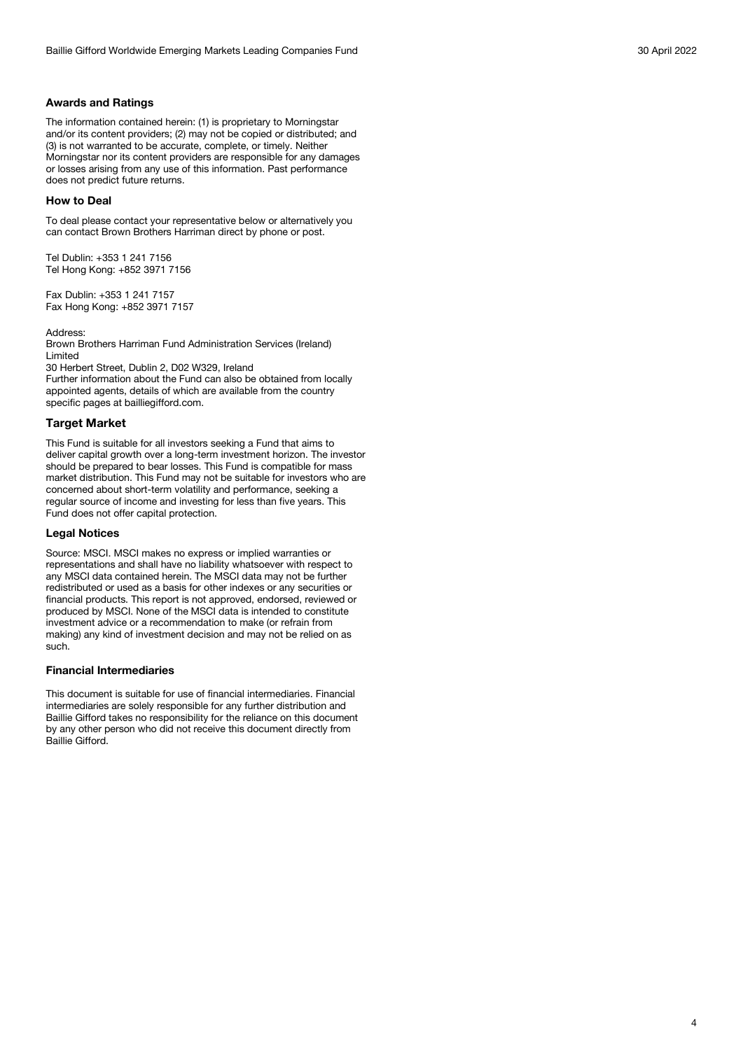## **Awards and Ratings**

The information contained herein: (1) is proprietary to Morningstar and/or its content providers; (2) may not be copied or distributed; and (3) is not warranted to be accurate, complete, or timely. Neither Morningstar nor its content providers are responsible for any damages or losses arising from any use of this information. Past performance does not predict future returns.

#### **How to Deal**

To deal please contact your representative below or alternatively you can contact Brown Brothers Harriman direct by phone or post.

Tel Dublin: +353 1 241 7156 Tel Hong Kong: +852 3971 7156

Fax Dublin: +353 1 241 7157 Fax Hong Kong: +852 3971 7157

Address:

Brown Brothers Harriman Fund Administration Services (Ireland) Limited

30 Herbert Street, Dublin 2, D02 W329, Ireland

Further information about the Fund can also be obtained from locally appointed agents, details of which are available from the country specific pages at bailliegifford.com.

#### **Target Market**

This Fund is suitable for all investors seeking a Fund that aims to deliver capital growth over a long-term investment horizon. The investor should be prepared to bear losses. This Fund is compatible for mass market distribution. This Fund may not be suitable for investors who are concerned about short-term volatility and performance, seeking a regular source of income and investing for less than five years. This Fund does not offer capital protection.

#### **Legal Notices**

Source: MSCI. MSCI makes no express or implied warranties or representations and shall have no liability whatsoever with respect to any MSCI data contained herein. The MSCI data may not be further redistributed or used as a basis for other indexes or any securities or financial products. This report is not approved, endorsed, reviewed or produced by MSCI. None of the MSCI data is intended to constitute investment advice or a recommendation to make (or refrain from making) any kind of investment decision and may not be relied on as such.

#### **Financial Intermediaries**

This document is suitable for use of financial intermediaries. Financial intermediaries are solely responsible for any further distribution and Baillie Gifford takes no responsibility for the reliance on this document by any other person who did not receive this document directly from Baillie Gifford.